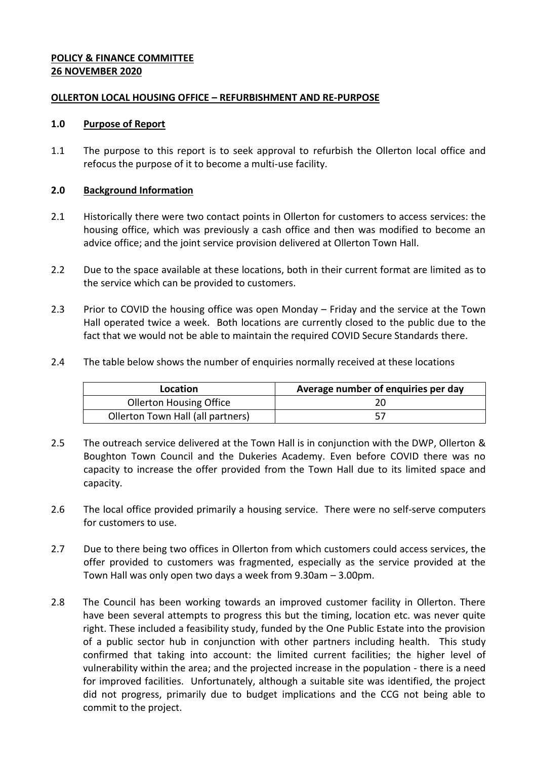# **POLICY & FINANCE COMMITTEE 26 NOVEMBER 2020**

### **OLLERTON LOCAL HOUSING OFFICE – REFURBISHMENT AND RE-PURPOSE**

#### **1.0 Purpose of Report**

1.1 The purpose to this report is to seek approval to refurbish the Ollerton local office and refocus the purpose of it to become a multi-use facility.

### **2.0 Background Information**

- 2.1 Historically there were two contact points in Ollerton for customers to access services: the housing office, which was previously a cash office and then was modified to become an advice office; and the joint service provision delivered at Ollerton Town Hall.
- 2.2 Due to the space available at these locations, both in their current format are limited as to the service which can be provided to customers.
- 2.3 Prior to COVID the housing office was open Monday Friday and the service at the Town Hall operated twice a week. Both locations are currently closed to the public due to the fact that we would not be able to maintain the required COVID Secure Standards there.
- 2.4 The table below shows the number of enquiries normally received at these locations

| Location                          | Average number of enquiries per day |
|-----------------------------------|-------------------------------------|
| <b>Ollerton Housing Office</b>    |                                     |
| Ollerton Town Hall (all partners) |                                     |

- 2.5 The outreach service delivered at the Town Hall is in conjunction with the DWP, Ollerton & Boughton Town Council and the Dukeries Academy. Even before COVID there was no capacity to increase the offer provided from the Town Hall due to its limited space and capacity.
- 2.6 The local office provided primarily a housing service. There were no self-serve computers for customers to use.
- 2.7 Due to there being two offices in Ollerton from which customers could access services, the offer provided to customers was fragmented, especially as the service provided at the Town Hall was only open two days a week from 9.30am – 3.00pm.
- 2.8 The Council has been working towards an improved customer facility in Ollerton. There have been several attempts to progress this but the timing, location etc. was never quite right. These included a feasibility study, funded by the One Public Estate into the provision of a public sector hub in conjunction with other partners including health. This study confirmed that taking into account: the limited current facilities; the higher level of vulnerability within the area; and the projected increase in the population - there is a need for improved facilities. Unfortunately, although a suitable site was identified, the project did not progress, primarily due to budget implications and the CCG not being able to commit to the project.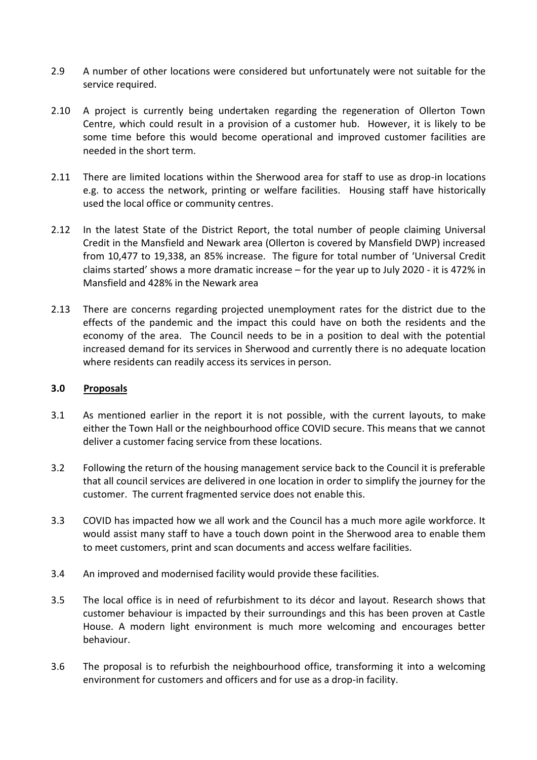- 2.9 A number of other locations were considered but unfortunately were not suitable for the service required.
- 2.10 A project is currently being undertaken regarding the regeneration of Ollerton Town Centre, which could result in a provision of a customer hub. However, it is likely to be some time before this would become operational and improved customer facilities are needed in the short term.
- 2.11 There are limited locations within the Sherwood area for staff to use as drop-in locations e.g. to access the network, printing or welfare facilities. Housing staff have historically used the local office or community centres.
- 2.12 In the latest State of the District Report, the total number of people claiming Universal Credit in the Mansfield and Newark area (Ollerton is covered by Mansfield DWP) increased from 10,477 to 19,338, an 85% increase. The figure for total number of 'Universal Credit claims started' shows a more dramatic increase – for the year up to July 2020 - it is 472% in Mansfield and 428% in the Newark area
- 2.13 There are concerns regarding projected unemployment rates for the district due to the effects of the pandemic and the impact this could have on both the residents and the economy of the area. The Council needs to be in a position to deal with the potential increased demand for its services in Sherwood and currently there is no adequate location where residents can readily access its services in person.

### **3.0 Proposals**

- 3.1 As mentioned earlier in the report it is not possible, with the current layouts, to make either the Town Hall or the neighbourhood office COVID secure. This means that we cannot deliver a customer facing service from these locations.
- 3.2 Following the return of the housing management service back to the Council it is preferable that all council services are delivered in one location in order to simplify the journey for the customer. The current fragmented service does not enable this.
- 3.3 COVID has impacted how we all work and the Council has a much more agile workforce. It would assist many staff to have a touch down point in the Sherwood area to enable them to meet customers, print and scan documents and access welfare facilities.
- 3.4 An improved and modernised facility would provide these facilities.
- 3.5 The local office is in need of refurbishment to its décor and layout. Research shows that customer behaviour is impacted by their surroundings and this has been proven at Castle House. A modern light environment is much more welcoming and encourages better behaviour.
- 3.6 The proposal is to refurbish the neighbourhood office, transforming it into a welcoming environment for customers and officers and for use as a drop-in facility.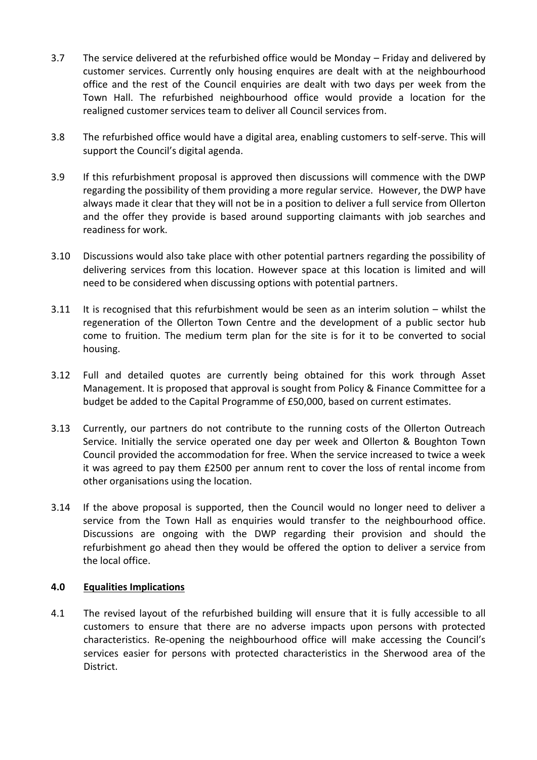- 3.7 The service delivered at the refurbished office would be Monday Friday and delivered by customer services. Currently only housing enquires are dealt with at the neighbourhood office and the rest of the Council enquiries are dealt with two days per week from the Town Hall. The refurbished neighbourhood office would provide a location for the realigned customer services team to deliver all Council services from.
- 3.8 The refurbished office would have a digital area, enabling customers to self-serve. This will support the Council's digital agenda.
- 3.9 If this refurbishment proposal is approved then discussions will commence with the DWP regarding the possibility of them providing a more regular service. However, the DWP have always made it clear that they will not be in a position to deliver a full service from Ollerton and the offer they provide is based around supporting claimants with job searches and readiness for work.
- 3.10 Discussions would also take place with other potential partners regarding the possibility of delivering services from this location. However space at this location is limited and will need to be considered when discussing options with potential partners.
- 3.11 It is recognised that this refurbishment would be seen as an interim solution whilst the regeneration of the Ollerton Town Centre and the development of a public sector hub come to fruition. The medium term plan for the site is for it to be converted to social housing.
- 3.12 Full and detailed quotes are currently being obtained for this work through Asset Management. It is proposed that approval is sought from Policy & Finance Committee for a budget be added to the Capital Programme of £50,000, based on current estimates.
- 3.13 Currently, our partners do not contribute to the running costs of the Ollerton Outreach Service. Initially the service operated one day per week and Ollerton & Boughton Town Council provided the accommodation for free. When the service increased to twice a week it was agreed to pay them £2500 per annum rent to cover the loss of rental income from other organisations using the location.
- 3.14 If the above proposal is supported, then the Council would no longer need to deliver a service from the Town Hall as enquiries would transfer to the neighbourhood office. Discussions are ongoing with the DWP regarding their provision and should the refurbishment go ahead then they would be offered the option to deliver a service from the local office.

### **4.0 Equalities Implications**

4.1 The revised layout of the refurbished building will ensure that it is fully accessible to all customers to ensure that there are no adverse impacts upon persons with protected characteristics. Re-opening the neighbourhood office will make accessing the Council's services easier for persons with protected characteristics in the Sherwood area of the District.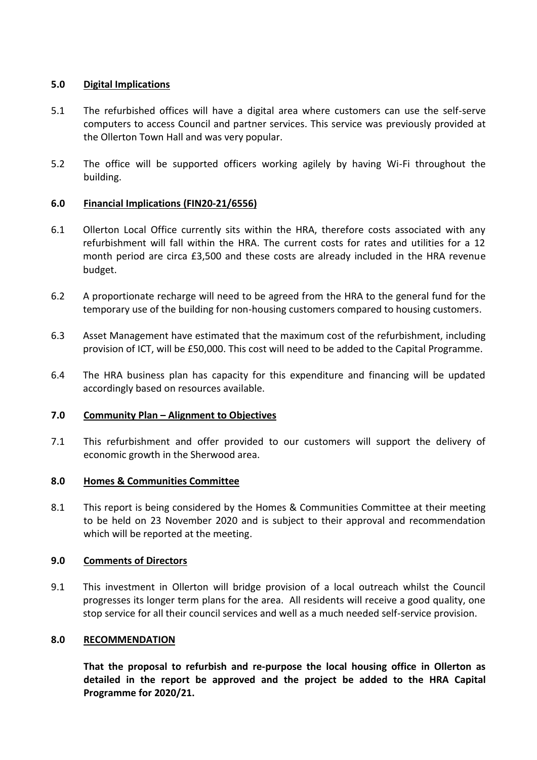# **5.0 Digital Implications**

- 5.1 The refurbished offices will have a digital area where customers can use the self-serve computers to access Council and partner services. This service was previously provided at the Ollerton Town Hall and was very popular.
- 5.2 The office will be supported officers working agilely by having Wi-Fi throughout the building.

# **6.0 Financial Implications (FIN20-21/6556)**

- 6.1 Ollerton Local Office currently sits within the HRA, therefore costs associated with any refurbishment will fall within the HRA. The current costs for rates and utilities for a 12 month period are circa £3,500 and these costs are already included in the HRA revenue budget.
- 6.2 A proportionate recharge will need to be agreed from the HRA to the general fund for the temporary use of the building for non-housing customers compared to housing customers.
- 6.3 Asset Management have estimated that the maximum cost of the refurbishment, including provision of ICT, will be £50,000. This cost will need to be added to the Capital Programme.
- 6.4 The HRA business plan has capacity for this expenditure and financing will be updated accordingly based on resources available.

### **7.0 Community Plan – Alignment to Objectives**

7.1 This refurbishment and offer provided to our customers will support the delivery of economic growth in the Sherwood area.

### **8.0 Homes & Communities Committee**

8.1 This report is being considered by the Homes & Communities Committee at their meeting to be held on 23 November 2020 and is subject to their approval and recommendation which will be reported at the meeting.

### **9.0 Comments of Directors**

9.1 This investment in Ollerton will bridge provision of a local outreach whilst the Council progresses its longer term plans for the area. All residents will receive a good quality, one stop service for all their council services and well as a much needed self-service provision.

### **8.0 RECOMMENDATION**

**That the proposal to refurbish and re-purpose the local housing office in Ollerton as detailed in the report be approved and the project be added to the HRA Capital Programme for 2020/21.**